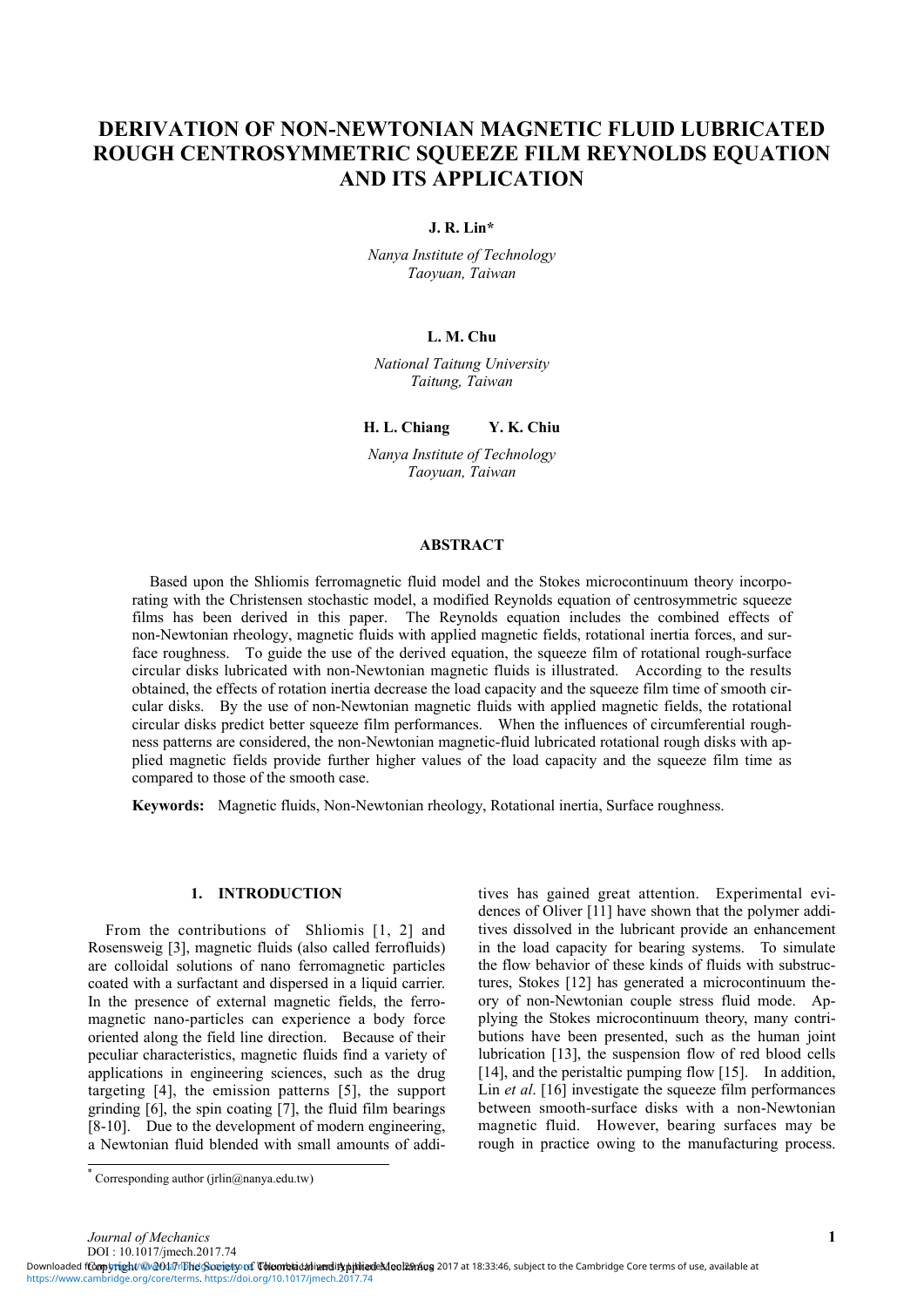# **DERIVATION OF NON-NEWTONIAN MAGNETIC FLUID LUBRICATED**  ROUGH CENTROSYMMETRIC SOUEEZE FILM REYNOLDS EQUATION **AND ITS APPLICATION**

**J. R. Lin\*** 

*Nanya Institute of Technology Taoyuan, Taiwan* 

## **L. M. Chu**

*National Taitung University Taitung, Taiwan* 

**H. L. Chiang Y. K. Chiu** 

*Nanya Institute of Technology Taoyuan, Taiwan* 

## **ABSTRACT**

Based upon the Shliomis ferromagnetic fluid model and the Stokes microcontinuum theory incorporating with the Christensen stochastic model, a modified Reynolds equation of centrosymmetric squeeze films has been derived in this paper. The Reynolds equation includes the combined effects of non-Newtonian rheology, magnetic fluids with applied magnetic fields, rotational inertia forces, and surface roughness. To guide the use of the derived equation, the squeeze film of rotational rough-surface circular disks lubricated with non-Newtonian magnetic fluids is illustrated. According to the results obtained, the effects of rotation inertia decrease the load capacity and the squeeze film time of smooth circular disks. By the use of non-Newtonian magnetic fluids with applied magnetic fields, the rotational circular disks predict better squeeze film performances. When the influences of circumferential roughness patterns are considered, the non-Newtonian magnetic-fluid lubricated rotational rough disks with applied magnetic fields provide further higher values of the load capacity and the squeeze film time as compared to those of the smooth case.

**Keywords:** Magnetic fluids, Non-Newtonian rheology, Rotational inertia, Surface roughness.

### **1. INTRODUCTION**

From the contributions of Shliomis [1, 2] and Rosensweig [3], magnetic fluids (also called ferrofluids) are colloidal solutions of nano ferromagnetic particles coated with a surfactant and dispersed in a liquid carrier. In the presence of external magnetic fields, the ferromagnetic nano-particles can experience a body force oriented along the field line direction. Because of their peculiar characteristics, magnetic fluids find a variety of applications in engineering sciences, such as the drug targeting [4], the emission patterns [5], the support grinding [6], the spin coating [7], the fluid film bearings [8-10]. Due to the development of modern engineering, a Newtonian fluid blended with small amounts of additives has gained great attention. Experimental evidences of Oliver [11] have shown that the polymer additives dissolved in the lubricant provide an enhancement in the load capacity for bearing systems. To simulate the flow behavior of these kinds of fluids with substructures, Stokes [12] has generated a microcontinuum theory of non-Newtonian couple stress fluid mode. Applying the Stokes microcontinuum theory, many contributions have been presented, such as the human joint lubrication [13], the suspension flow of red blood cells [14], and the peristaltic pumping flow [15]. In addition, Lin *et al.* [16] investigate the squeeze film performances between smooth-surface disks with a non-Newtonian magnetic fluid. However, bearing surfaces may be rough in practice owing to the manufacturing process.

*Journal of Mechanics* **1** DOI : 10.1017/jmech.2017.74

Downloaded fComyright/@@047nbhdGoorgty of ToleoneticaninerditypithiadeMool29mog 2017 at 18:33:46, subject to the Cambridge Core terms of use, available at [https://www.cambridge.org/core/terms.](https://www.cambridge.org/core/terms) <https://doi.org/10.1017/jmech.2017.74>

Corresponding author (jrlin@nanya.edu.tw)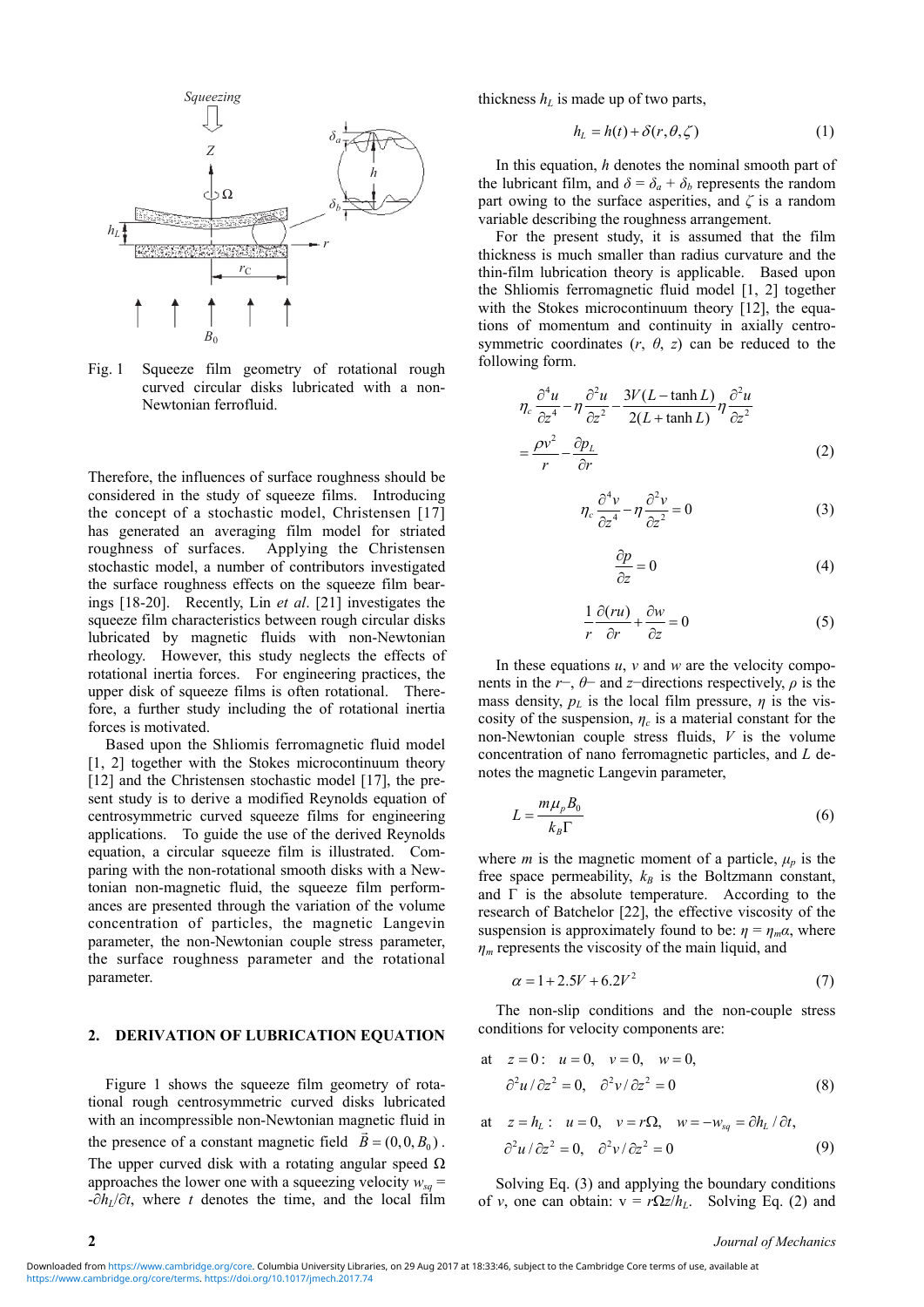

Fig. 1 Squeeze film geometry of rotational rough curved circular disks lubricated with a non-Newtonian ferrofluid.

Therefore, the influences of surface roughness should be considered in the study of squeeze films. Introducing the concept of a stochastic model, Christensen [17] has generated an averaging film model for striated roughness of surfaces. Applying the Christensen stochastic model, a number of contributors investigated the surface roughness effects on the squeeze film bearings [18-20]. Recently, Lin *et al*. [21] investigates the squeeze film characteristics between rough circular disks lubricated by magnetic fluids with non-Newtonian rheology. However, this study neglects the effects of rotational inertia forces. For engineering practices, the upper disk of squeeze films is often rotational. Therefore, a further study including the of rotational inertia forces is motivated.

Based upon the Shliomis ferromagnetic fluid model [1, 2] together with the Stokes microcontinuum theory [12] and the Christensen stochastic model [17], the present study is to derive a modified Reynolds equation of centrosymmetric curved squeeze films for engineering applications. To guide the use of the derived Reynolds equation, a circular squeeze film is illustrated. Comparing with the non-rotational smooth disks with a Newtonian non-magnetic fluid, the squeeze film performances are presented through the variation of the volume concentration of particles, the magnetic Langevin parameter, the non-Newtonian couple stress parameter, the surface roughness parameter and the rotational parameter.

#### **2. DERIVATION OF LUBRICATION EQUATION**

Figure 1 shows the squeeze film geometry of rotational rough centrosymmetric curved disks lubricated with an incompressible non-Newtonian magnetic fluid in the presence of a constant magnetic field  $\vec{B} = (0, 0, B_0)$ . The upper curved disk with a rotating angular speed  $\Omega$ approaches the lower one with a squeezing velocity  $w_{sa}$  =  $-\partial h_l/\partial t$ , where *t* denotes the time, and the local film thickness  $h<sub>L</sub>$  is made up of two parts,

$$
h_L = h(t) + \delta(r, \theta, \zeta) \tag{1}
$$

In this equation, *h* denotes the nominal smooth part of the lubricant film, and  $\delta = \delta_a + \delta_b$  represents the random part owing to the surface asperities, and *ζ* is a random variable describing the roughness arrangement.

For the present study, it is assumed that the film thickness is much smaller than radius curvature and the thin-film lubrication theory is applicable. Based upon the Shliomis ferromagnetic fluid model [1, 2] together with the Stokes microcontinuum theory [12], the equations of momentum and continuity in axially centrosymmetric coordinates  $(r, \theta, z)$  can be reduced to the following form.

$$
\eta_c \frac{\partial^4 u}{\partial z^4} - \eta \frac{\partial^2 u}{\partial z^2} - \frac{3V(L - \tanh L)}{2(L + \tanh L)} \eta \frac{\partial^2 u}{\partial z^2}
$$

$$
= \frac{\rho v^2}{r} - \frac{\partial p_L}{\partial r}
$$
(2)

$$
\eta_c \frac{\partial^4 v}{\partial z^4} - \eta \frac{\partial^2 v}{\partial z^2} = 0
$$
\n(3)

$$
\frac{\partial p}{\partial z} = 0\tag{4}
$$

$$
\frac{1}{r}\frac{\partial(ru)}{\partial r} + \frac{\partial w}{\partial z} = 0\tag{5}
$$

In these equations *u*, *v* and *w* are the velocity components in the  $r$ −,  $\theta$ − and *z*−directions respectively,  $\rho$  is the mass density,  $p<sub>L</sub>$  is the local film pressure,  $\eta$  is the viscosity of the suspension,  $\eta_c$  is a material constant for the non-Newtonian couple stress fluids, *V* is the volume concentration of nano ferromagnetic particles, and *L* denotes the magnetic Langevin parameter,

$$
L = \frac{m\mu_p B_0}{k_B \Gamma} \tag{6}
$$

where *m* is the magnetic moment of a particle,  $\mu_p$  is the free space permeability,  $k_B$  is the Boltzmann constant, and  $\Gamma$  is the absolute temperature. According to the research of Batchelor [22], the effective viscosity of the suspension is approximately found to be:  $\eta = \eta_m \alpha$ , where *ηm* represents the viscosity of the main liquid, and

$$
\alpha = 1 + 2.5V + 6.2V^2 \tag{7}
$$

The non-slip conditions and the non-couple stress conditions for velocity components are:

at 
$$
z = 0
$$
:  $u = 0$ ,  $v = 0$ ,  $w = 0$ ,  
\n
$$
\frac{\partial^2 u}{\partial z^2} = 0
$$
, 
$$
\frac{\partial^2 v}{\partial z^2} = 0
$$
 (8)

at 
$$
z = h_L
$$
:  $u = 0$ ,  $v = r\Omega$ ,  $w = -w_{sq} = \partial h_L / \partial t$ ,  
\n
$$
\partial^2 u / \partial z^2 = 0
$$
,  $\partial^2 v / \partial z^2 = 0$  (9)

Solving Eq. (3) and applying the boundary conditions of *v*, one can obtain:  $v = r\Omega z/h_L$ . Solving Eq. (2) and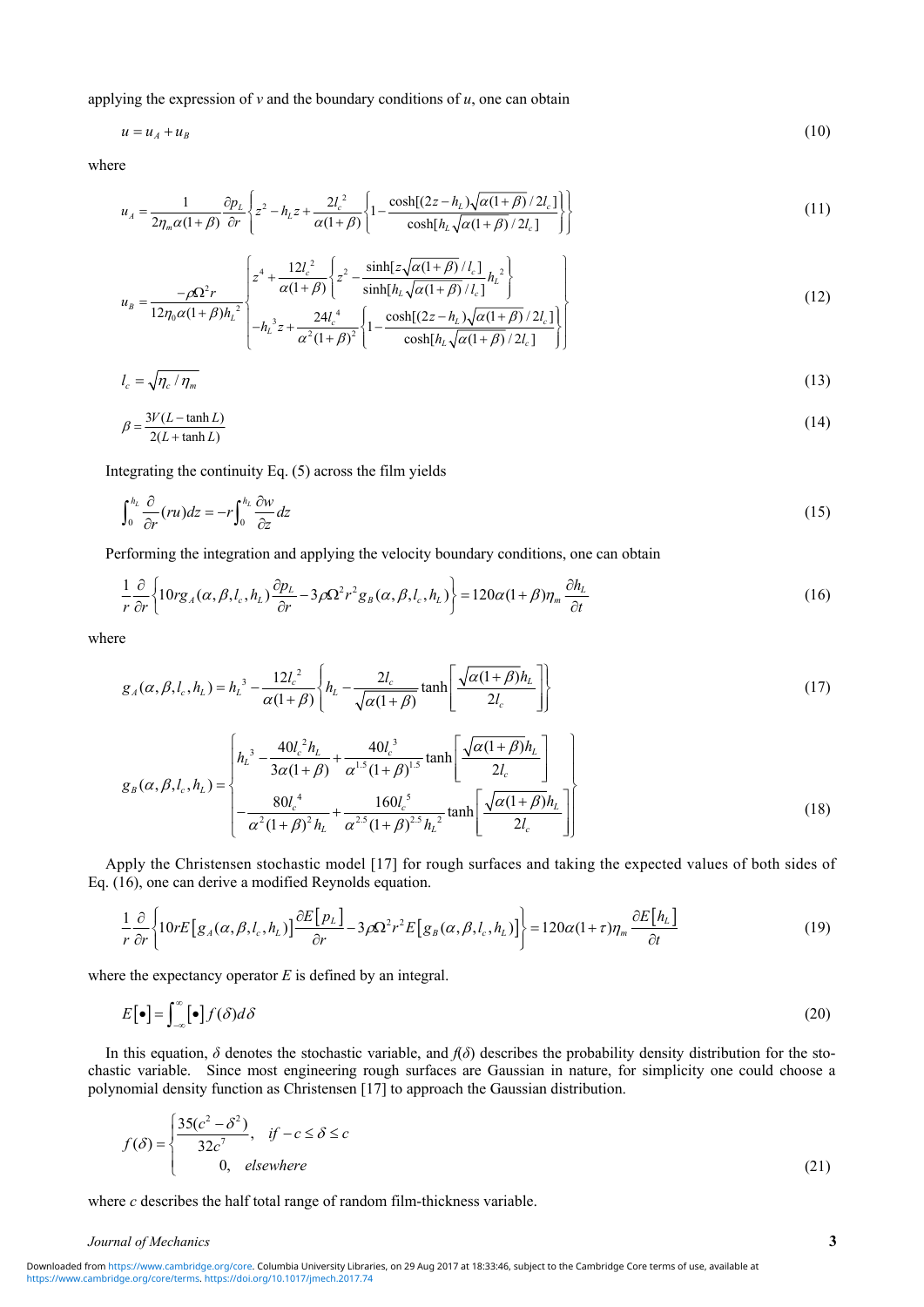applying the expression of  $\nu$  and the boundary conditions of  $u$ , one can obtain

$$
u = u_A + u_B \tag{10}
$$

where

$$
u_A = \frac{1}{2\eta_m \alpha (1+\beta)} \frac{\partial p_L}{\partial r} \left\{ z^2 - h_L z + \frac{2l_c^2}{\alpha (1+\beta)} \left\{ 1 - \frac{\cosh[(2z - h_L)\sqrt{\alpha (1+\beta)}/2l_c]}{\cosh[h_L \sqrt{\alpha (1+\beta)}/2l_c]} \right\} \right\}
$$
(11)

$$
u_B = \frac{-\rho \Omega^2 r}{12\eta_0 \alpha (1+\beta)h_L^2} \begin{bmatrix} z^4 + \frac{12l_c^2}{\alpha (1+\beta)} \left\{ z^2 - \frac{\sinh[z\sqrt{\alpha (1+\beta)}/l_c]}{\sinh[h_L\sqrt{\alpha (1+\beta)}/l_c]} h_L^2 \right\} \\ -h_L^3 z + \frac{24l_c^4}{\alpha (1+\beta)^2} \left\{ 1 - \frac{\cosh[(2z-h_L)\sqrt{\alpha (1+\beta)}/2l_c]}{\alpha (1+\beta)^2} \right\} \end{bmatrix} \tag{12}
$$

$$
12\eta_0\alpha(1+\beta)h_L^2\left[-h_L^3z+\frac{24l_c^4}{\alpha^2(1+\beta)^2}\left\{1-\frac{\cosh[(2z-h_L)\sqrt{\alpha(1+\beta)}/2l_c]}{\cosh[h_L\sqrt{\alpha(1+\beta)}/2l_c]}\right\}\right]
$$

$$
l_c = \sqrt{\eta_c / \eta_m} \tag{13}
$$

$$
\beta = \frac{3V(L - \tanh L)}{2(L + \tanh L)}\tag{14}
$$

Integrating the continuity Eq. (5) across the film yields

$$
\int_0^{h_L} \frac{\partial}{\partial r} (r u) dz = -r \int_0^{h_L} \frac{\partial w}{\partial z} dz \tag{15}
$$

Performing the integration and applying the velocity boundary conditions, one can obtain

$$
\frac{1}{r}\frac{\partial}{\partial r}\left\{10rg_A(\alpha,\beta,l_c,h_L)\frac{\partial p_L}{\partial r}-3\rho\Omega^2r^2g_B(\alpha,\beta,l_c,h_L)\right\}=120\alpha(1+\beta)\eta_m\frac{\partial h_L}{\partial t}
$$
\n(16)

where

$$
g_A(\alpha, \beta, l_c, h_L) = h_L^{3} - \frac{12l_c^{2}}{\alpha(1+\beta)} \left\{ h_L - \frac{2l_c}{\sqrt{\alpha(1+\beta)}} \tanh\left[\frac{\sqrt{\alpha(1+\beta)}h_L}{2l_c} \right] \right\}
$$
(17)

$$
g_B(\alpha, \beta, l_c, h_L) = \begin{cases} h_L^3 - \frac{40l_c^2 h_L}{3\alpha(1+\beta)} + \frac{40l_c^3}{\alpha^{1.5}(1+\beta)^{1.5}} \tanh\left[\frac{\sqrt{\alpha(1+\beta)}h_L}{2l_c}\right] \\ - \frac{80l_c^4}{\alpha^2(1+\beta)^2 h_L} + \frac{160l_c^5}{\alpha^{2.5}(1+\beta)^{2.5} h_L^2} \tanh\left[\frac{\sqrt{\alpha(1+\beta)}h_L}{2l_c}\right] \end{cases}
$$
(18)

Apply the Christensen stochastic model [17] for rough surfaces and taking the expected values of both sides of Eq. (16), one can derive a modified Reynolds equation.

$$
\frac{1}{r}\frac{\partial}{\partial r}\left\{10rE\left[g_A(\alpha,\beta,l_c,h_L)\right]\frac{\partial E\left[p_L\right]}{\partial r}-3\rho\Omega^2r^2E\left[g_B(\alpha,\beta,l_c,h_L)\right]\right\}=120\alpha(1+\tau)\eta_m\frac{\partial E\left[h_L\right]}{\partial t}\tag{19}
$$

where the expectancy operator *E* is defined by an integral.

$$
E\left[\bullet\right] = \int_{-\infty}^{\infty} \left[\bullet\right] f(\delta) d\delta \tag{20}
$$

In this equation,  $\delta$  denotes the stochastic variable, and  $f(\delta)$  describes the probability density distribution for the stochastic variable. Since most engineering rough surfaces are Gaussian in nature, for simplicity one could choose a polynomial density function as Christensen [17] to approach the Gaussian distribution.

$$
f(\delta) = \begin{cases} \frac{35(c^2 - \delta^2)}{32c^7}, & \text{if } -c \le \delta \le c \\ 0, & \text{elsewhere} \end{cases}
$$
 (21)

where *c* describes the half total range of random film-thickness variable.

#### *Journal of Mechanics* **3**

[https://www.cambridge.org/core/terms.](https://www.cambridge.org/core/terms) <https://doi.org/10.1017/jmech.2017.74> Downloaded from [https://www.cambridge.org/core.](https://www.cambridge.org/core) Columbia University Libraries, on 29 Aug 2017 at 18:33:46, subject to the Cambridge Core terms of use, available at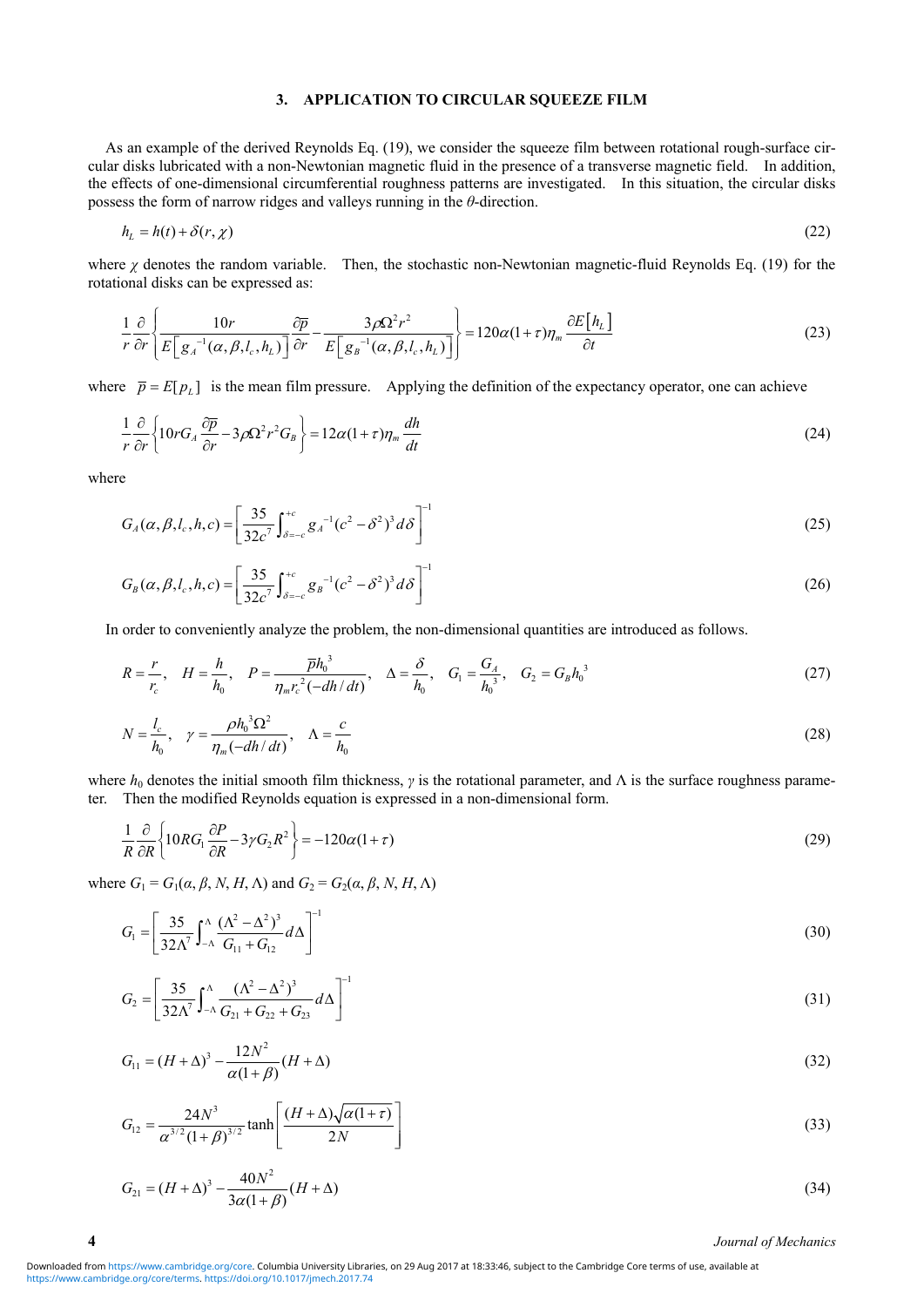## **3. APPLICATION TO CIRCULAR SQUEEZE FILM**

As an example of the derived Reynolds Eq. (19), we consider the squeeze film between rotational rough-surface circular disks lubricated with a non-Newtonian magnetic fluid in the presence of a transverse magnetic field. In addition, the effects of one-dimensional circumferential roughness patterns are investigated. In this situation, the circular disks possess the form of narrow ridges and valleys running in the *θ*-direction.

$$
h_L = h(t) + \delta(r, \chi) \tag{22}
$$

where *χ* denotes the random variable. Then, the stochastic non-Newtonian magnetic-fluid Reynolds Eq. (19) for the rotational disks can be expressed as:

$$
\frac{1}{r}\frac{\partial}{\partial r}\left\{\frac{10r}{E\left[g_A^{-1}(\alpha,\beta,l_c,h_L)\right]}\frac{\partial \overline{p}}{\partial r}-\frac{3\rho\Omega^2r^2}{E\left[g_B^{-1}(\alpha,\beta,l_c,h_L)\right]}\right\} = 120\alpha(1+r)\eta_m\frac{\partial E\left[h_L\right]}{\partial t} \tag{23}
$$

where  $\bar{p} = E[p_L]$  is the mean film pressure. Applying the definition of the expectancy operator, one can achieve

$$
\frac{1}{r}\frac{\partial}{\partial r}\left\{10rG_A\frac{\partial \overline{p}}{\partial r}-3\rho\Omega^2r^2G_B\right\}=12\alpha(1+\tau)\eta_m\frac{dh}{dt}
$$
\n(24)

where

$$
G_A(\alpha, \beta, l_c, h, c) = \left[\frac{35}{32c^7} \int_{\delta=-c}^{+c} g_A^{-1} (c^2 - \delta^2)^3 d\delta\right]^{-1}
$$
\n(25)

$$
G_B(\alpha, \beta, l_c, h, c) = \left[\frac{35}{32c^7} \int_{\delta=-c}^{+c} g_B^{-1} (c^2 - \delta^2)^3 d\delta\right]^{-1}
$$
\n(26)

In order to conveniently analyze the problem, the non-dimensional quantities are introduced as follows.

$$
R = \frac{r}{r_c}, \quad H = \frac{h}{h_0}, \quad P = \frac{\overline{p}h_0^3}{\eta_m r_c^2(-dh/dt)}, \quad \Delta = \frac{\delta}{h_0}, \quad G_1 = \frac{G_A}{h_0^3}, \quad G_2 = G_B h_0^3
$$
(27)

$$
N = \frac{l_c}{h_0}, \quad \gamma = \frac{\rho h_0^3 \Omega^2}{\eta_m (-dh/dt)}, \quad \Lambda = \frac{c}{h_0}
$$
\n
$$
(28)
$$

where  $h_0$  denotes the initial smooth film thickness,  $\gamma$  is the rotational parameter, and  $\Lambda$  is the surface roughness parameter. Then the modified Reynolds equation is expressed in a non-dimensional form.

$$
\frac{1}{R}\frac{\partial}{\partial R}\left\{10RG_1\frac{\partial P}{\partial R}-3\gamma G_2R^2\right\} = -120\alpha(1+\tau)
$$
\n(29)

where  $G_1 = G_1(\alpha, \beta, N, H, \Lambda)$  and  $G_2 = G_2(\alpha, \beta, N, H, \Lambda)$ 

$$
G_1 = \left[\frac{35}{32\Lambda^7} \int_{-\Lambda}^{\Lambda} \frac{(\Lambda^2 - \Lambda^2)^3}{G_{11} + G_{12}} d\Lambda\right]^{-1}
$$
(30)

$$
G_2 = \left[\frac{35}{32\Lambda^7} \int_{-\Lambda}^{\Lambda} \frac{(\Lambda^2 - \Lambda^2)^3}{G_{21} + G_{22} + G_{23}} d\Lambda\right]^{-1}
$$
\n(31)

$$
G_{11} = (H + \Delta)^3 - \frac{12N^2}{\alpha(1+\beta)}(H + \Delta)
$$
\n(32)

$$
G_{12} = \frac{24N^3}{\alpha^{3/2} (1+\beta)^{3/2}} \tanh\left[\frac{(H+\Delta)\sqrt{\alpha(1+\tau)}}{2N}\right]
$$
(33)

$$
G_{21} = (H + \Delta)^3 - \frac{40N^2}{3\alpha(1+\beta)}(H + \Delta)
$$
\n(34)

**4** *Journal of Mechanics*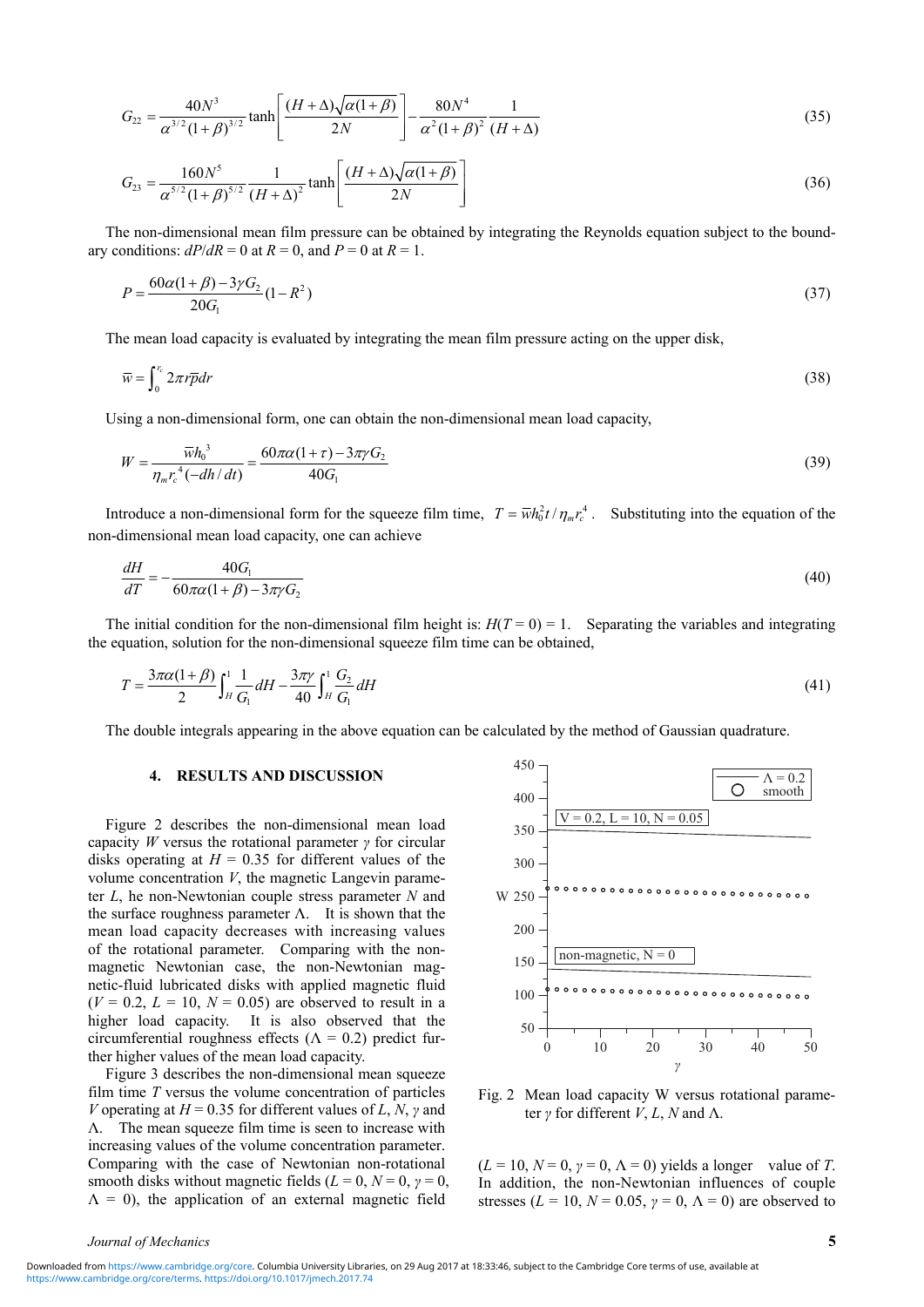$$
G_{22} = \frac{40N^3}{\alpha^{3/2}(1+\beta)^{3/2}} \tanh\left[\frac{(H+\Delta)\sqrt{\alpha(1+\beta)}}{2N}\right] - \frac{80N^4}{\alpha^2(1+\beta)^2} \frac{1}{(H+\Delta)}\tag{35}
$$

$$
G_{23} = \frac{160N^5}{\alpha^{5/2}(1+\beta)^{5/2}} \frac{1}{(H+\Delta)^2} \tanh\left[\frac{(H+\Delta)\sqrt{\alpha(1+\beta)}}{2N}\right]
$$
(36)

The non-dimensional mean film pressure can be obtained by integrating the Reynolds equation subject to the boundary conditions:  $dP/dR = 0$  at  $R = 0$ , and  $P = 0$  at  $R = 1$ .

$$
P = \frac{60\alpha(1+\beta) - 3\gamma G_2}{20G_1} (1 - R^2)
$$
\n(37)

The mean load capacity is evaluated by integrating the mean film pressure acting on the upper disk,

$$
\overline{w} = \int_0^{r_c} 2\pi r \overline{p} dr \tag{38}
$$

Using a non-dimensional form, one can obtain the non-dimensional mean load capacity,

$$
W = \frac{\overline{w}h_0^3}{\eta_m r_c^4 (-dh/dt)} = \frac{60\pi\alpha(1+\tau) - 3\pi\gamma G_2}{40G_1}
$$
\n(39)

Introduce a non-dimensional form for the squeeze film time,  $T = \overline{w}h_0^2 t / \eta_m r_c^4$ . Substituting into the equation of the non-dimensional mean load capacity, one can achieve

$$
\frac{dH}{dT} = -\frac{40G_1}{60\pi\alpha(1+\beta) - 3\pi\gamma G_2} \tag{40}
$$

The initial condition for the non-dimensional film height is:  $H(T=0) = 1$ . Separating the variables and integrating the equation, solution for the non-dimensional squeeze film time can be obtained,

$$
T = \frac{3\pi\alpha(1+\beta)}{2} \int_{H}^{1} \frac{1}{G_{1}} dH - \frac{3\pi\gamma}{40} \int_{H}^{1} \frac{G_{2}}{G_{1}} dH
$$
\n(41)

The double integrals appearing in the above equation can be calculated by the method of Gaussian quadrature.

### **4. RESULTS AND DISCUSSION**

Figure 2 describes the non-dimensional mean load capacity *W* versus the rotational parameter *γ* for circular disks operating at  $H = 0.35$  for different values of the volume concentration *V*, the magnetic Langevin parameter *L*, he non-Newtonian couple stress parameter *N* and the surface roughness parameter  $\Lambda$ . It is shown that the mean load capacity decreases with increasing values of the rotational parameter. Comparing with the nonmagnetic Newtonian case, the non-Newtonian magnetic-fluid lubricated disks with applied magnetic fluid  $(V = 0.2, L = 10, N = 0.05)$  are observed to result in a higher load capacity. It is also observed that the circumferential roughness effects ( $\Lambda = 0.2$ ) predict further higher values of the mean load capacity.

Figure 3 describes the non-dimensional mean squeeze film time *T* versus the volume concentration of particles *V* operating at  $H = 0.35$  for different values of *L*, *N*, *γ* and Λ. The mean squeeze film time is seen to increase with increasing values of the volume concentration parameter. Comparing with the case of Newtonian non-rotational smooth disks without magnetic fields ( $L = 0$ ,  $N = 0$ ,  $\gamma = 0$ ,  $\Lambda = 0$ ), the application of an external magnetic field



Fig. 2 Mean load capacity W versus rotational parameter *γ* for different *V*, *L*, *N* and Λ.

 $(L = 10, N = 0, \gamma = 0, \Lambda = 0)$  yields a longer value of *T*. In addition, the non-Newtonian influences of couple stresses ( $L = 10$ ,  $N = 0.05$ ,  $\gamma = 0$ ,  $\Lambda = 0$ ) are observed to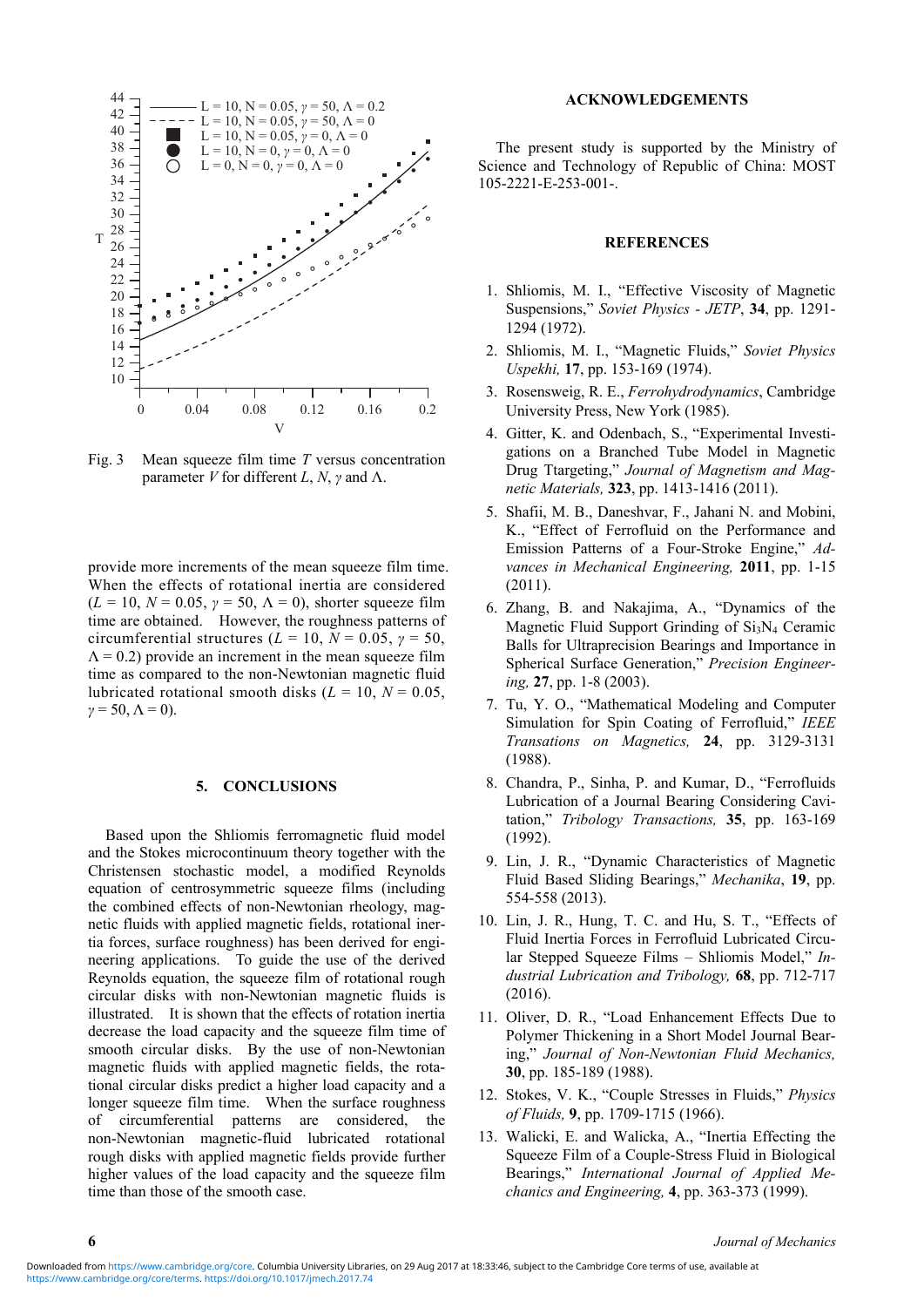

Fig. 3 Mean squeeze film time *T* versus concentration parameter *V* for different *L*, *N*, *γ* and Λ.

provide more increments of the mean squeeze film time. When the effects of rotational inertia are considered  $(L = 10, N = 0.05, \gamma = 50, \Lambda = 0)$ , shorter squeeze film time are obtained. However, the roughness patterns of circumferential structures ( $\tilde{L} = 10$ ,  $\tilde{N} = 0.05$ ,  $\gamma = 50$ ,  $\Lambda$  = 0.2) provide an increment in the mean squeeze film time as compared to the non-Newtonian magnetic fluid lubricated rotational smooth disks  $(L = 10, N = 0.05,$  $\gamma$  = 50,  $\Lambda$  = 0).

#### **5. CONCLUSIONS**

Based upon the Shliomis ferromagnetic fluid model and the Stokes microcontinuum theory together with the Christensen stochastic model, a modified Reynolds equation of centrosymmetric squeeze films (including the combined effects of non-Newtonian rheology, magnetic fluids with applied magnetic fields, rotational inertia forces, surface roughness) has been derived for engineering applications. To guide the use of the derived Reynolds equation, the squeeze film of rotational rough circular disks with non-Newtonian magnetic fluids is illustrated. It is shown that the effects of rotation inertia decrease the load capacity and the squeeze film time of smooth circular disks. By the use of non-Newtonian magnetic fluids with applied magnetic fields, the rotational circular disks predict a higher load capacity and a longer squeeze film time. When the surface roughness of circumferential patterns are considered, the non-Newtonian magnetic-fluid lubricated rotational rough disks with applied magnetic fields provide further higher values of the load capacity and the squeeze film time than those of the smooth case.

#### **ACKNOWLEDGEMENTS**

The present study is supported by the Ministry of Science and Technology of Republic of China: MOST 105-2221-E-253-001-.

#### **REFERENCES**

- 1. Shliomis, M. I., "Effective Viscosity of Magnetic Suspensions," *Soviet Physics - JETP*, **34**, pp. 1291- 1294 (1972).
- 2. Shliomis, M. I., "Magnetic Fluids," *Soviet Physics Uspekhi,* **17**, pp. 153-169 (1974).
- 3. Rosensweig, R. E., *Ferrohydrodynamics*, Cambridge University Press, New York (1985).
- 4. Gitter, K. and Odenbach, S., "Experimental Investigations on a Branched Tube Model in Magnetic Drug Ttargeting," *Journal of Magnetism and Magnetic Materials,* **323**, pp. 1413-1416 (2011).
- 5. Shafii, M. B., Daneshvar, F., Jahani N. and Mobini, K., "Effect of Ferrofluid on the Performance and Emission Patterns of a Four-Stroke Engine," *Advances in Mechanical Engineering,* **2011**, pp. 1-15 (2011).
- 6. Zhang, B. and Nakajima, A., "Dynamics of the Magnetic Fluid Support Grinding of  $Si<sub>3</sub>N<sub>4</sub>$  Ceramic Balls for Ultraprecision Bearings and Importance in Spherical Surface Generation," *Precision Engineering,* **27**, pp. 1-8 (2003).
- 7. Tu, Y. O., "Mathematical Modeling and Computer Simulation for Spin Coating of Ferrofluid," *IEEE Transations on Magnetics,* **24**, pp. 3129-3131 (1988).
- 8. Chandra, P., Sinha, P. and Kumar, D., "Ferrofluids Lubrication of a Journal Bearing Considering Cavitation," *Tribology Transactions,* **35**, pp. 163-169 (1992).
- 9. Lin, J. R., "Dynamic Characteristics of Magnetic Fluid Based Sliding Bearings," *Mechanika*, **19**, pp. 554-558 (2013).
- 10. Lin, J. R., Hung, T. C. and Hu, S. T., "Effects of Fluid Inertia Forces in Ferrofluid Lubricated Circular Stepped Squeeze Films – Shliomis Model," *Industrial Lubrication and Tribology,* **68**, pp. 712-717 (2016).
- 11. Oliver, D. R., "Load Enhancement Effects Due to Polymer Thickening in a Short Model Journal Bearing," *Journal of Non-Newtonian Fluid Mechanics,* **30**, pp. 185-189 (1988).
- 12. Stokes, V. K., "Couple Stresses in Fluids," *Physics of Fluids,* **9**, pp. 1709-1715 (1966).
- 13. Walicki, E. and Walicka, A., "Inertia Effecting the Squeeze Film of a Couple-Stress Fluid in Biological Bearings," *International Journal of Applied Mechanics and Engineering,* **4**, pp. 363-373 (1999).